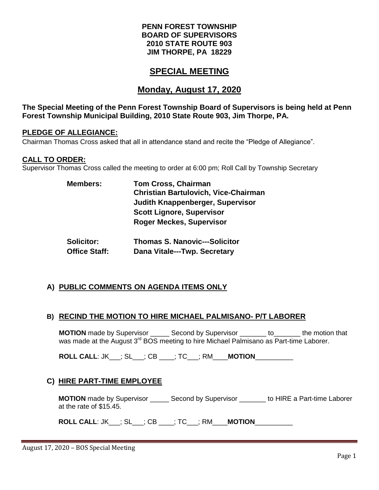#### **PENN FOREST TOWNSHIP BOARD OF SUPERVISORS 2010 STATE ROUTE 903 JIM THORPE, PA 18229**

# **SPECIAL MEETING**

# **Monday, August 17, 2020**

#### **The Special Meeting of the Penn Forest Township Board of Supervisors is being held at Penn Forest Township Municipal Building, 2010 State Route 903, Jim Thorpe, PA.**

#### **PLEDGE OF ALLEGIANCE:**

Chairman Thomas Cross asked that all in attendance stand and recite the "Pledge of Allegiance".

#### **CALL TO ORDER:**

Supervisor Thomas Cross called the meeting to order at 6:00 pm; Roll Call by Township Secretary

| <b>Tom Cross, Chairman</b>                  |
|---------------------------------------------|
| <b>Christian Bartulovich, Vice-Chairman</b> |
| Judith Knappenberger, Supervisor            |
| <b>Scott Lignore, Supervisor</b>            |
| <b>Roger Meckes, Supervisor</b>             |
|                                             |
|                                             |

| Solicitor:           | <b>Thomas S. Nanovic---Solicitor</b> |
|----------------------|--------------------------------------|
| <b>Office Staff:</b> | Dana Vitale---Twp. Secretary         |

#### **A) PUBLIC COMMENTS ON AGENDA ITEMS ONLY**

#### **B) RECIND THE MOTION TO HIRE MICHAEL PALMISANO- P/T LABORER**

**MOTION** made by Supervisor \_\_\_\_\_ Second by Supervisor \_\_\_\_\_\_\_ to\_\_\_\_\_\_\_ the motion that was made at the August 3<sup>rd</sup> BOS meeting to hire Michael Palmisano as Part-time Laborer.

**ROLL CALL**: JK\_\_\_; SL\_\_\_; CB \_\_\_\_; TC\_\_\_; RM\_\_\_\_**MOTION**\_\_\_\_\_\_\_\_\_\_

#### **C) HIRE PART-TIME EMPLOYEE**

**MOTION** made by Supervisor **Second by Supervisor** to HIRE a Part-time Laborer at the rate of \$15.45.

**ROLL CALL**: JK\_\_\_; SL\_\_\_; CB \_\_\_\_; TC\_\_\_; RM\_\_\_\_**MOTION**\_\_\_\_\_\_\_\_\_\_